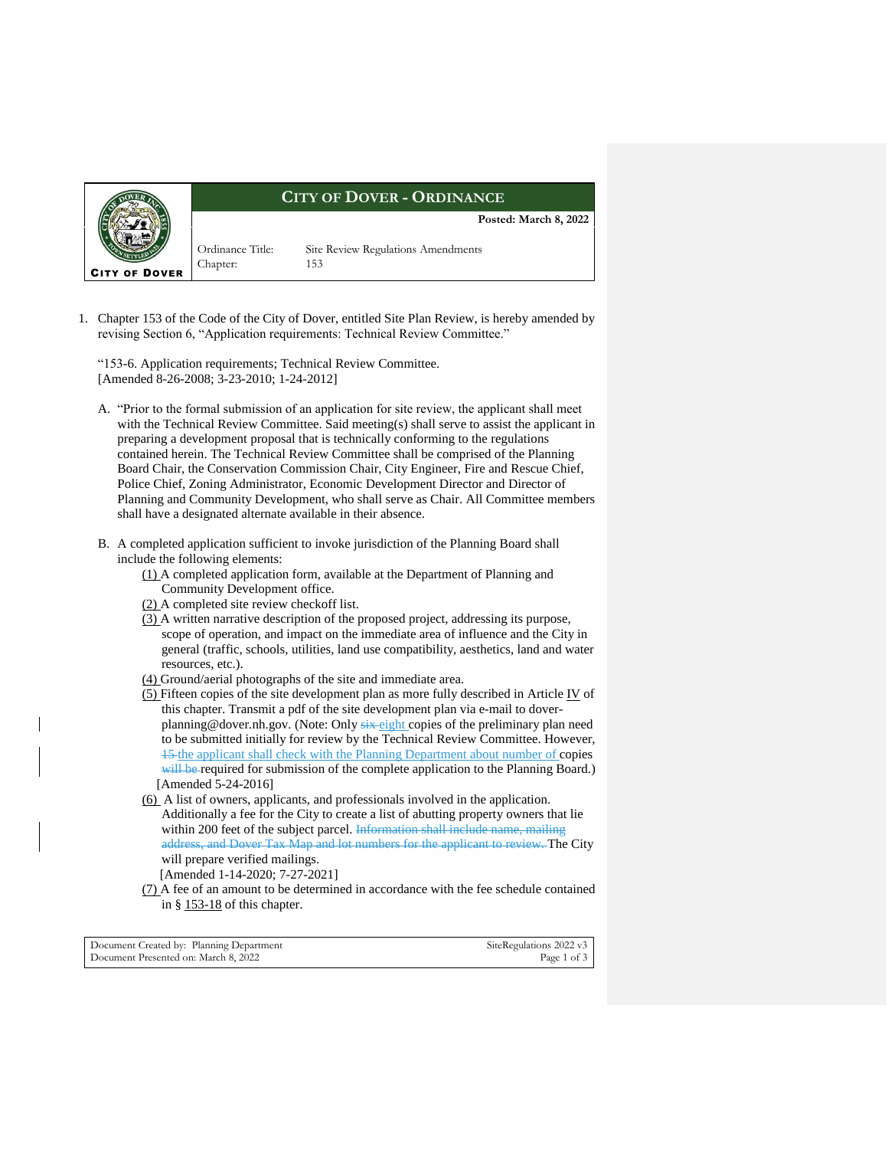

## **CITY OF DOVER - ORDINANCE**

**Posted: March 8, 2022**

Chapter: 153

Ordinance Title: Site Review Regulations Amendments

1. Chapter 153 of the Code of the City of Dover, entitled Site Plan Review, is hereby amended by revising Section 6, "Application requirements: Technical Review Committee."

"153-6. Application requirements; Technical Review Committee. [Amended 8-26-2008; 3-23-2010; 1-24-2012]

- A. "Prior to the formal submission of an application for site review, the applicant shall meet with the Technical Review Committee. Said meeting(s) shall serve to assist the applicant in preparing a development proposal that is technically conforming to the regulations contained herein. The Technical Review Committee shall be comprised of the Planning Board Chair, the Conservation Commission Chair, City Engineer, Fire and Rescue Chief, Police Chief, Zoning Administrator, Economic Development Director and Director of Planning and Community Development, who shall serve as Chair. All Committee members shall have a designated alternate available in their absence.
- B. A completed application sufficient to invoke jurisdiction of the Planning Board shall include the following elements:
	- [\(1\)](https://ecode360.com/33400321#33400321) A completed application form, available at the Department of Planning and Community Development office.
	- [\(2\)](https://ecode360.com/33400322#33400322) A completed site review checkoff list.
	- [\(3\)](https://ecode360.com/33400323#33400323) A written narrative description of the proposed project, addressing its purpose, scope of operation, and impact on the immediate area of influence and the City in general (traffic, schools, utilities, land use compatibility, aesthetics, land and water resources, etc.).
	- [\(4\)](https://ecode360.com/33400324#33400324) Ground/aerial photographs of the site and immediate area.
	- $(5)$  Fifteen copies of the site development plan as more fully described in Article [IV](https://ecode360.com/33400371#33400371) of this chapter. Transmit a pdf of the site development plan via e-mail to doverplanning@dover.nh.gov. (Note: Only six eight copies of the preliminary plan need to be submitted initially for review by the Technical Review Committee. However, 15 the applicant shall check with the Planning Department about number of copies will be required for submission of the complete application to the Planning Board.) [Amended 5-24-2016]
	- [\(6\)](https://ecode360.com/33400326#33400326) A list of owners, applicants, and professionals involved in the application. Additionally a fee for the City to create a list of abutting property owners that lie within 200 feet of the subject parcel. Information shall include name, mailing address, and Dover Tax Map and lot numbers for the applicant to review. The City will prepare verified mailings.

[Amended 1-14-2020; 7-27-2021]

[\(7\)](https://ecode360.com/33400327#33400327) A fee of an amount to be determined in accordance with the fee schedule contained in § [153-18](https://ecode360.com/33400847#33400847) of this chapter.

| Document Created by: Planning Department | SiteRegulations 2022 v3 |
|------------------------------------------|-------------------------|
| Document Presented on: March 8, 2022     | Page 1 of 3             |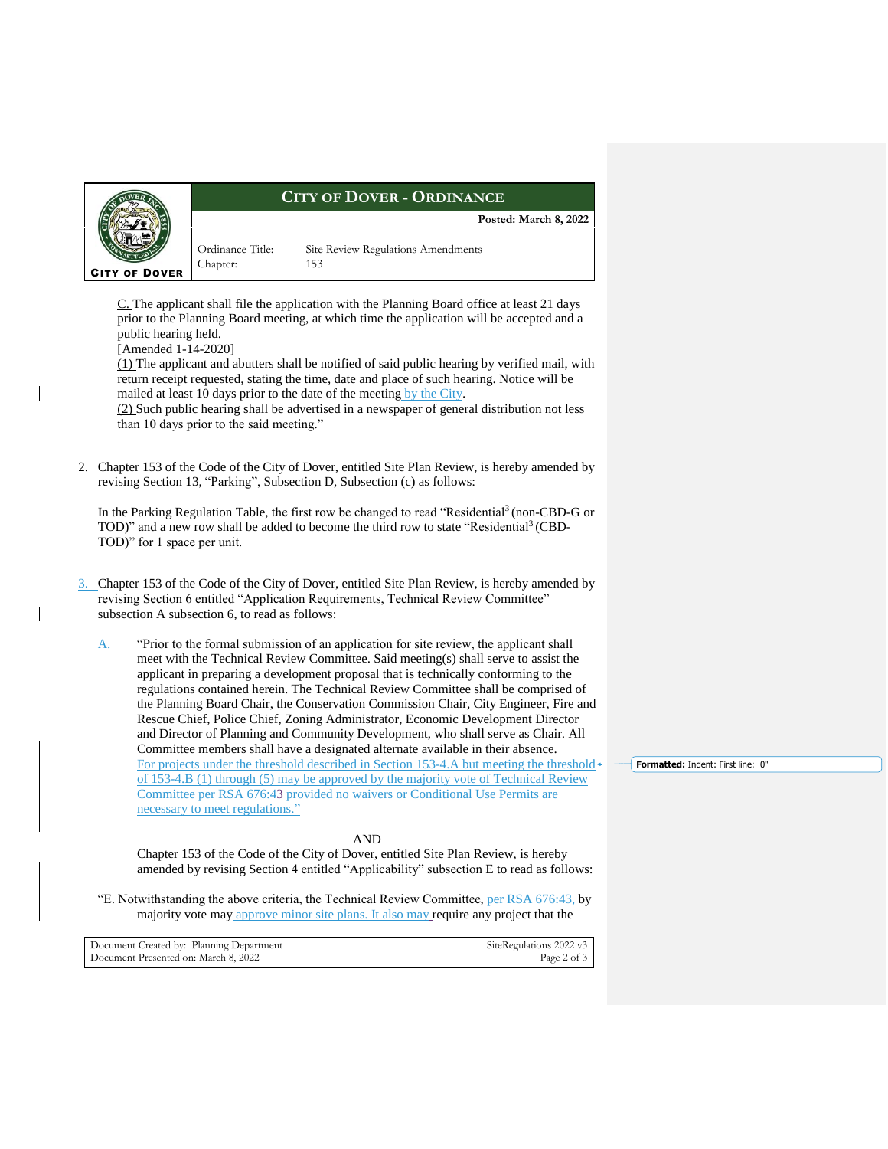

## **CITY OF DOVER - ORDINANCE**

**Posted: March 8, 2022**

[C.](https://ecode360.com/33400328#33400328) The applicant shall file the application with the Planning Board office at least 21 days prior to the Planning Board meeting, at which time the application will be accepted and a public hearing held.

Ordinance Title: Site Review Regulations Amendments

Chapter: 153

[Amended 1-14-2020]

[\(1\)](https://ecode360.com/33400329#33400329) The applicant and abutters shall be notified of said public hearing by verified mail, with return receipt requested, stating the time, date and place of such hearing. Notice will be mailed at least 10 days prior to the date of the meeting by the City.

[\(2\)](https://ecode360.com/33400330#33400330) Such public hearing shall be advertised in a newspaper of general distribution not less than 10 days prior to the said meeting."

2. Chapter 153 of the Code of the City of Dover, entitled Site Plan Review, is hereby amended by revising Section 13, "Parking", Subsection D, Subsection (c) as follows:

In the Parking Regulation Table, the first row be changed to read "Residential<sup>3</sup> (non-CBD-G or TOD)" and a new row shall be added to become the third row to state "Residential<sup>3</sup> (CBD-TOD)" for 1 space per unit.

3. Chapter 153 of the Code of the City of Dover, entitled Site Plan Review, is hereby amended by revising Section 6 entitled "Application Requirements, Technical Review Committee" subsection A subsection 6, to read as follows:

"Prior to the formal submission of an application for site review, the applicant shall meet with the Technical Review Committee. Said meeting(s) shall serve to assist the applicant in preparing a development proposal that is technically conforming to the regulations contained herein. The Technical Review Committee shall be comprised of the Planning Board Chair, the Conservation Commission Chair, City Engineer, Fire and Rescue Chief, Police Chief, Zoning Administrator, Economic Development Director and Director of Planning and Community Development, who shall serve as Chair. All Committee members shall have a designated alternate available in their absence. For projects under the threshold described in Section 153-4.A but meeting the threshold of 153-4.B (1) through (5) may be approved by the majority vote of Technical Review Committee per RSA 676:43 provided no waivers or Conditional Use Permits are necessary to meet regulations."

## AND

Chapter 153 of the Code of the City of Dover, entitled Site Plan Review, is hereby amended by revising Section 4 entitled "Applicability" subsection E to read as follows:

"E. Notwithstanding the above criteria, the Technical Review Committee, per RSA 676:43, by majority vote may approve minor site plans. It also may require any project that the

| Document Created by: Planning Department | SiteRegulations 2022 v3 |
|------------------------------------------|-------------------------|
| Document Presented on: March 8, 2022     | Page 2 of 3             |

**Formatted:** Indent: First line: 0"